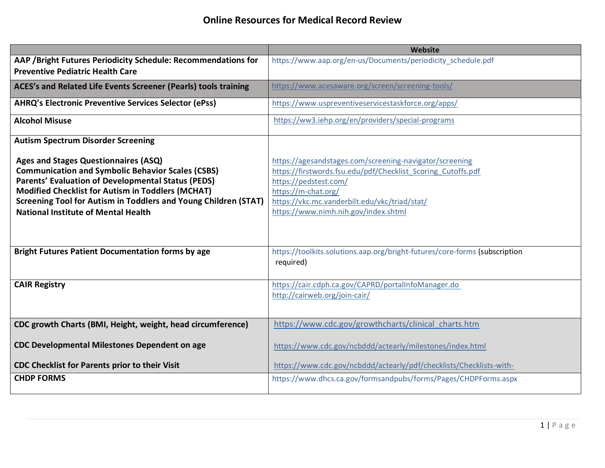|                                                                                                                                                                                                                                                                                                                                                   | Website                                                                                                                                                                                                                                                          |
|---------------------------------------------------------------------------------------------------------------------------------------------------------------------------------------------------------------------------------------------------------------------------------------------------------------------------------------------------|------------------------------------------------------------------------------------------------------------------------------------------------------------------------------------------------------------------------------------------------------------------|
| AAP / Bright Futures Periodicity Schedule: Recommendations for<br><b>Preventive Pediatric Health Care</b>                                                                                                                                                                                                                                         | https://www.aap.org/en-us/Documents/periodicity_schedule.pdf                                                                                                                                                                                                     |
|                                                                                                                                                                                                                                                                                                                                                   |                                                                                                                                                                                                                                                                  |
| ACES's and Related Life Events Screener (Pearls) tools training                                                                                                                                                                                                                                                                                   | https://www.acesaware.org/screen/screening-tools/                                                                                                                                                                                                                |
| <b>AHRQ's Electronic Preventive Services Selector (ePss)</b>                                                                                                                                                                                                                                                                                      | https://www.uspreventiveservicestaskforce.org/apps/                                                                                                                                                                                                              |
| <b>Alcohol Misuse</b>                                                                                                                                                                                                                                                                                                                             | https://ww3.iehp.org/en/providers/special-programs                                                                                                                                                                                                               |
| <b>Autism Spectrum Disorder Screening</b>                                                                                                                                                                                                                                                                                                         |                                                                                                                                                                                                                                                                  |
| <b>Ages and Stages Questionnaires (ASQ)</b><br><b>Communication and Symbolic Behavior Scales (CSBS)</b><br><b>Parents' Evaluation of Developmental Status (PEDS)</b><br>Modified Checklist for Autism in Toddlers (MCHAT)<br><b>Screening Tool for Autism in Toddlers and Young Children (STAT)</b><br><b>National Institute of Mental Health</b> | https://agesandstages.com/screening-navigator/screening<br>https://firstwords.fsu.edu/pdf/Checklist Scoring Cutoffs.pdf<br>https://pedstest.com/<br>https://m-chat.org/<br>https://vkc.mc.vanderbilt.edu/vkc/triad/stat/<br>https://www.nimh.nih.gov/index.shtml |
| <b>Bright Futures Patient Documentation forms by age</b>                                                                                                                                                                                                                                                                                          | https://toolkits.solutions.aap.org/bright-futures/core-forms (subscription<br>required)                                                                                                                                                                          |
| <b>CAIR Registry</b>                                                                                                                                                                                                                                                                                                                              | https://cair.cdph.ca.gov/CAPRD/portalInfoManager.do<br>http://cairweb.org/join-cair/                                                                                                                                                                             |
| CDC growth Charts (BMI, Height, weight, head circumference)                                                                                                                                                                                                                                                                                       | https://www.cdc.gov/growthcharts/clinical charts.htm                                                                                                                                                                                                             |
| <b>CDC Developmental Milestones Dependent on age</b>                                                                                                                                                                                                                                                                                              | https://www.cdc.gov/ncbddd/actearly/milestones/index.html                                                                                                                                                                                                        |
| CDC Checklist for Parents prior to their Visit                                                                                                                                                                                                                                                                                                    | https://www.cdc.gov/ncbddd/actearly/pdf/checklists/Checklists-with-                                                                                                                                                                                              |
| <b>CHDP FORMS</b>                                                                                                                                                                                                                                                                                                                                 | https://www.dhcs.ca.gov/formsandpubs/forms/Pages/CHDPForms.aspx                                                                                                                                                                                                  |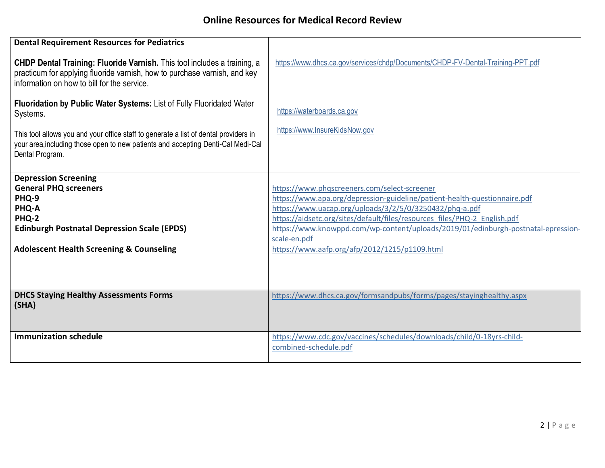## **Online Resources for Medical Record Review**

| <b>Dental Requirement Resources for Pediatrics</b>                                                                                                                                                   |                                                                                                                                                                                                                                                                                                                                                                                                                         |
|------------------------------------------------------------------------------------------------------------------------------------------------------------------------------------------------------|-------------------------------------------------------------------------------------------------------------------------------------------------------------------------------------------------------------------------------------------------------------------------------------------------------------------------------------------------------------------------------------------------------------------------|
| CHDP Dental Training: Fluoride Varnish. This tool includes a training, a<br>practicum for applying fluoride varnish, how to purchase varnish, and key<br>information on how to bill for the service. | https://www.dhcs.ca.gov/services/chdp/Documents/CHDP-FV-Dental-Training-PPT.pdf                                                                                                                                                                                                                                                                                                                                         |
| Fluoridation by Public Water Systems: List of Fully Fluoridated Water<br>Systems.                                                                                                                    | https://waterboards.ca.gov                                                                                                                                                                                                                                                                                                                                                                                              |
| This tool allows you and your office staff to generate a list of dental providers in<br>your area, including those open to new patients and accepting Denti-Cal Medi-Cal<br>Dental Program.          | https://www.InsureKidsNow.gov                                                                                                                                                                                                                                                                                                                                                                                           |
| <b>Depression Screening</b><br><b>General PHQ screeners</b><br>PHQ-9<br>PHQ-A<br>PHQ-2<br><b>Edinburgh Postnatal Depression Scale (EPDS)</b><br><b>Adolescent Health Screening &amp; Counseling</b>  | https://www.phqscreeners.com/select-screener<br>https://www.apa.org/depression-guideline/patient-health-questionnaire.pdf<br>https://www.uacap.org/uploads/3/2/5/0/3250432/phq-a.pdf<br>https://aidsetc.org/sites/default/files/resources files/PHQ-2 English.pdf<br>https://www.knowppd.com/wp-content/uploads/2019/01/edinburgh-postnatal-epression-<br>scale-en.pdf<br>https://www.aafp.org/afp/2012/1215/p1109.html |
| <b>DHCS Staying Healthy Assessments Forms</b><br>(SHA)                                                                                                                                               | https://www.dhcs.ca.gov/formsandpubs/forms/pages/stayinghealthy.aspx                                                                                                                                                                                                                                                                                                                                                    |
| <b>Immunization schedule</b>                                                                                                                                                                         | https://www.cdc.gov/vaccines/schedules/downloads/child/0-18yrs-child-<br>combined-schedule.pdf                                                                                                                                                                                                                                                                                                                          |